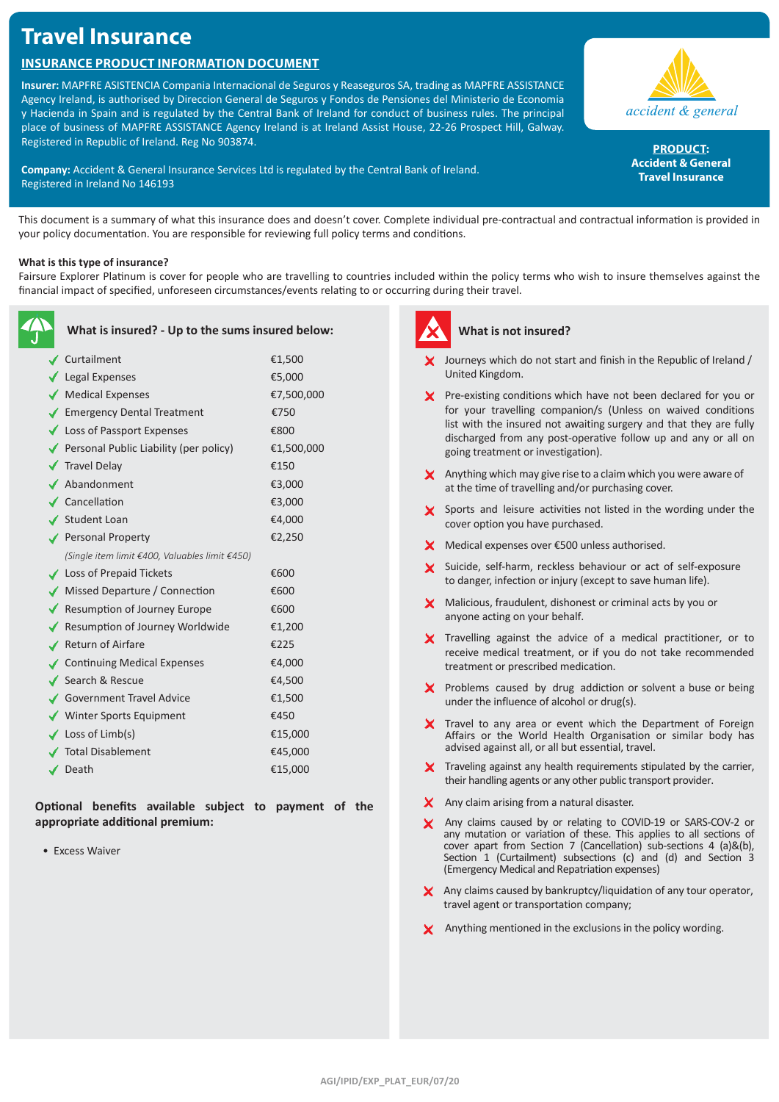# **Travel Insurance**

# **Insurance Product Information Document**

**Insurer:** MAPFRE ASISTENCIA Compania Internacional de Seguros y Reaseguros SA, trading as MAPFRE ASSISTANCE Agency Ireland, is authorised by Direccion General de Seguros y Fondos de Pensiones del Ministerio de Economia y Hacienda in Spain and is regulated by the Central Bank of Ireland for conduct of business rules. The principal place of business of MAPFRE ASSISTANCE Agency Ireland is at Ireland Assist House, 22-26 Prospect Hill, Galway. Registered in Republic of Ireland. Reg No 903874.

**Company:** Accident & General Insurance Services Ltd is regulated by the Central Bank of Ireland. Registered in Ireland No 146193



PRODUCT: **Accident & General Travel Insurance**

This document is a summary of what this insurance does and doesn't cover. Complete individual pre-contractual and contractual information is provided in your policy documentation. You are responsible for reviewing full policy terms and conditions.

### **What is this type of insurance?**

Fairsure Explorer Platinum is cover for people who are travelling to countries included within the policy terms who wish to insure themselves against the financial impact of specified, unforeseen circumstances/events relating to or occurring during their travel.

| What is insured? - Up to the sums insured below: |            |  |
|--------------------------------------------------|------------|--|
| Curtailment                                      | €1,500     |  |
| $\sqrt{\phantom{a}}$ Legal Expenses              | €5,000     |  |
| Medical Expenses                                 | €7,500,000 |  |
| ✔ Emergency Dental Treatment                     | €750       |  |
| ◆ Loss of Passport Expenses                      | €800       |  |
| Personal Public Liability (per policy)           | €1,500,000 |  |
| <b>√</b> Travel Delay                            | €150       |  |
| ▲ Abandonment                                    | €3,000     |  |
| $\checkmark$ Cancellation                        | €3,000     |  |
| ✔ Student Loan                                   | €4,000     |  |
| Personal Property                                | €2,250     |  |
| (Single item limit €400, Valuables limit €450)   |            |  |
| <b>↓</b> Loss of Prepaid Tickets                 | €600       |  |
| ◆ Missed Departure / Connection                  | €600       |  |
| ◆ Resumption of Journey Europe                   | €600       |  |
| ◆ Resumption of Journey Worldwide                | €1,200     |  |
| ✔ Return of Airfare                              | €225       |  |
| ✔ Continuing Medical Expenses                    | €4,000     |  |
| ✔ Search & Rescue                                | €4,500     |  |
| Government Travel Advice                         | €1,500     |  |
| ◆ Winter Sports Equipment                        | €450       |  |
| $\checkmark$ Loss of Limb(s)                     | €15,000    |  |
| <b>∕ Total Disablement</b>                       | €45,000    |  |
| $\checkmark$ Death                               | €15,000    |  |
|                                                  |            |  |

**Optional benefits available subject to payment of the appropriate additional premium:**

• Excess Waiver



## **What is not insured?**

- Journeys which do not start and finish in the Republic of Ireland / United Kingdom.
- X Pre-existing conditions which have not been declared for you or for your travelling companion/s (Unless on waived conditions list with the insured not awaiting surgery and that they are fully discharged from any post-operative follow up and any or all on going treatment or investigation).
- $\boldsymbol{\times}$  Anything which may give rise to a claim which you were aware of at the time of travelling and/or purchasing cover.
- Sports and leisure activities not listed in the wording under the cover option you have purchased.
- X Medical expenses over €500 unless authorised.
- X Suicide, self-harm, reckless behaviour or act of self-exposure to danger, infection or injury (except to save human life).
- **X** Malicious, fraudulent, dishonest or criminal acts by you or anyone acting on your behalf.
- X Travelling against the advice of a medical practitioner, or to receive medical treatment, or if you do not take recommended treatment or prescribed medication.
- $\boldsymbol{\times}$  Problems caused by drug addiction or solvent a buse or being under the influence of alcohol or drug(s).
- X Travel to any area or event which the Department of Foreign Affairs or the World Health Organisation or similar body has advised against all, or all but essential, travel.
- $\boldsymbol{\times}$  Traveling against any health requirements stipulated by the carrier, their handling agents or any other public transport provider.
- X Any claim arising from a natural disaster.
- X Any claims caused by or relating to COVID-19 or SARS-COV-2 or any mutation or variation of these. This applies to all sections of cover apart from Section 7 (Cancellation) sub-sections 4 (a)&(b), Section 1 (Curtailment) subsections (c) and (d) and Section 3 (Emergency Medical and Repatriation expenses)
- X Any claims caused by bankruptcy/liquidation of any tour operator, travel agent or transportation company;
- X Anything mentioned in the exclusions in the policy wording.